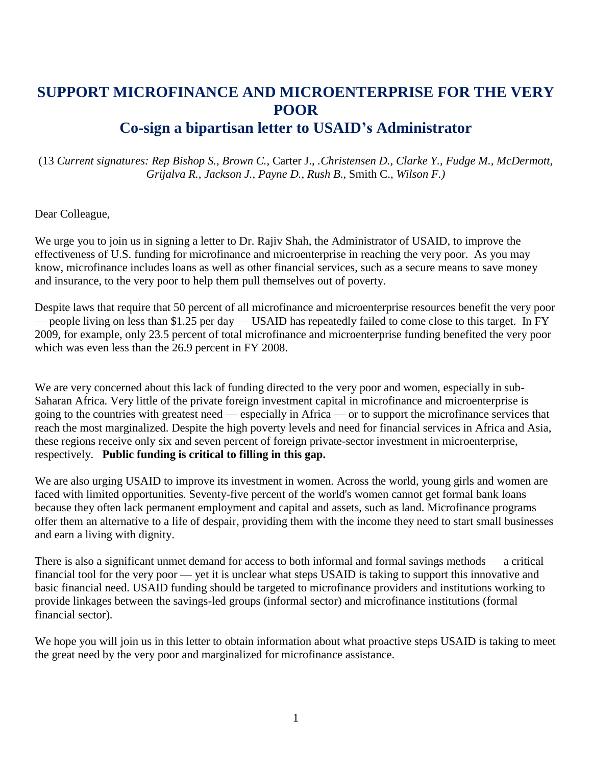# **SUPPORT MICROFINANCE AND MICROENTERPRISE FOR THE VERY POOR**

# **Co-sign a bipartisan letter to USAID's Administrator**

(13 *Current signatures: Rep Bishop S., Brown C.,* Carter J., *.Christensen D., Clarke Y., Fudge M., McDermott, Grijalva R., Jackson J., Payne D., Rush B*., Smith C., *Wilson F.)*

Dear Colleague,

We urge you to join us in signing a letter to Dr. Rajiv Shah, the Administrator of USAID, to improve the effectiveness of U.S. funding for microfinance and microenterprise in reaching the very poor. As you may know, microfinance includes loans as well as other financial services, such as a secure means to save money and insurance, to the very poor to help them pull themselves out of poverty.

Despite laws that require that 50 percent of all microfinance and microenterprise resources benefit the very poor — people living on less than \$1.25 per day — USAID has repeatedly failed to come close to this target. In FY 2009, for example, only 23.5 percent of total microfinance and microenterprise funding benefited the very poor which was even less than the 26.9 percent in FY 2008.

We are very concerned about this lack of funding directed to the very poor and women, especially in sub-Saharan Africa. Very little of the private foreign investment capital in microfinance and microenterprise is going to the countries with greatest need — especially in Africa — or to support the microfinance services that reach the most marginalized. Despite the high poverty levels and need for financial services in Africa and Asia, these regions receive only six and seven percent of foreign private-sector investment in microenterprise, respectively. **Public funding is critical to filling in this gap.**

We are also urging USAID to improve its investment in women. Across the world, young girls and women are faced with limited opportunities. Seventy-five percent of the world's women cannot get formal bank loans because they often lack permanent employment and capital and assets, such as land. Microfinance programs offer them an alternative to a life of despair, providing them with the income they need to start small businesses and earn a living with dignity.

There is also a significant unmet demand for access to both informal and formal savings methods — a critical financial tool for the very poor — yet it is unclear what steps USAID is taking to support this innovative and basic financial need. USAID funding should be targeted to microfinance providers and institutions working to provide linkages between the savings-led groups (informal sector) and microfinance institutions (formal financial sector).

We hope you will join us in this letter to obtain information about what proactive steps USAID is taking to meet the great need by the very poor and marginalized for microfinance assistance.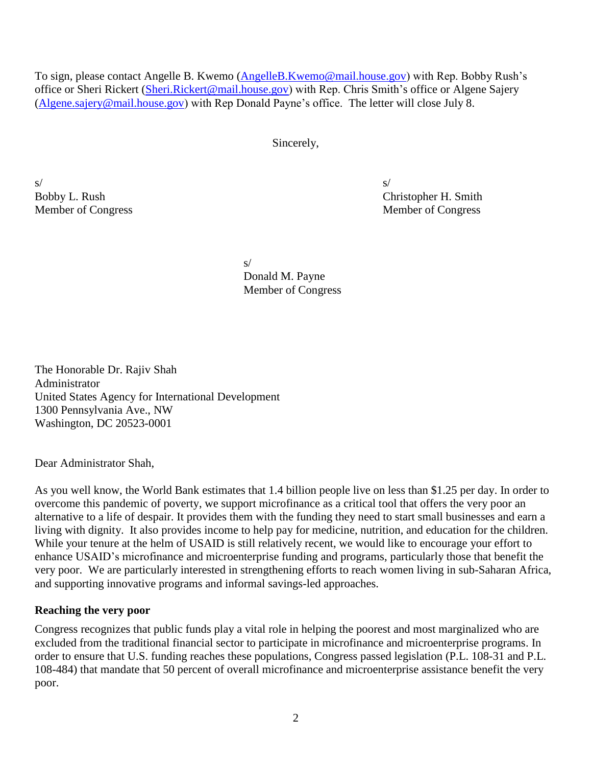To sign, please contact Angelle B. Kwemo [\(AngelleB.Kwemo@mail.house.gov\)](mailto:AngelleB.Kwemo@mail.house.gov) with Rep. Bobby Rush's office or Sheri Rickert [\(Sheri.Rickert@mail.house.gov\)](mailto:Sheri.Rickert@mail.house.gov) with Rep. Chris Smith's office or Algene Sajery [\(Algene.sajery@mail.house.gov\)](mailto:Algene.sajery@mail.house.gov) with Rep Donald Payne's office. The letter will close July 8.

Sincerely,

 $s/$ 

Bobby L. Rush Christopher H. Smith Member of Congress Member of Congress

> s/ Donald M. Payne Member of Congress

The Honorable Dr. Rajiv Shah Administrator United States Agency for International Development 1300 Pennsylvania Ave., NW Washington, DC 20523-0001

Dear Administrator Shah,

As you well know, the World Bank estimates that 1.4 billion people live on less than \$1.25 per day. In order to overcome this pandemic of poverty, we support microfinance as a critical tool that offers the very poor an alternative to a life of despair. It provides them with the funding they need to start small businesses and earn a living with dignity. It also provides income to help pay for medicine, nutrition, and education for the children. While your tenure at the helm of USAID is still relatively recent, we would like to encourage your effort to enhance USAID's microfinance and microenterprise funding and programs, particularly those that benefit the very poor. We are particularly interested in strengthening efforts to reach women living in sub-Saharan Africa, and supporting innovative programs and informal savings-led approaches.

#### **Reaching the very poor**

Congress recognizes that public funds play a vital role in helping the poorest and most marginalized who are excluded from the traditional financial sector to participate in microfinance and microenterprise programs. In order to ensure that U.S. funding reaches these populations, Congress passed legislation (P.L. 108-31 and P.L. 108-484) that mandate that 50 percent of overall microfinance and microenterprise assistance benefit the very poor.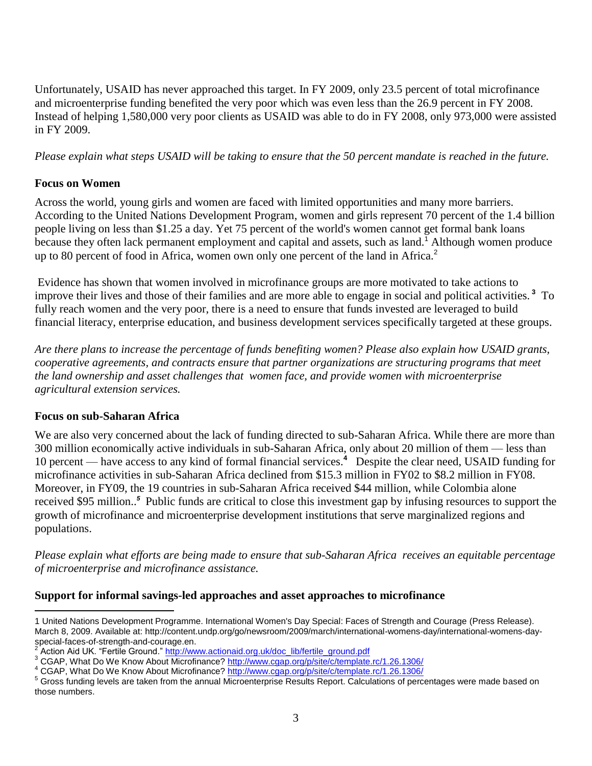Unfortunately, USAID has never approached this target. In FY 2009, only 23.5 percent of total microfinance and microenterprise funding benefited the very poor which was even less than the 26.9 percent in FY 2008. Instead of helping 1,580,000 very poor clients as USAID was able to do in FY 2008, only 973,000 were assisted in FY 2009.

*Please explain what steps USAID will be taking to ensure that the 50 percent mandate is reached in the future.*

# **Focus on Women**

Across the world, young girls and women are faced with limited opportunities and many more barriers. According to the United Nations Development Program, women and girls represent 70 percent of the 1.4 billion people living on less than \$1.25 a day. Yet 75 percent of the world's women cannot get formal bank loans because they often lack permanent employment and capital and assets, such as land.<sup>1</sup> Although women produce up to 80 percent of food in Africa, women own only one percent of the land in Africa.<sup>2</sup>

Evidence has shown that women involved in microfinance groups are more motivated to take actions to improve their lives and those of their families and are more able to engage in social and political activities. **<sup>3</sup>** To fully reach women and the very poor, there is a need to ensure that funds invested are leveraged to build financial literacy, enterprise education, and business development services specifically targeted at these groups.

*Are there plans to increase the percentage of funds benefiting women? Please also explain how USAID grants, cooperative agreements, and contracts ensure that partner organizations are structuring programs that meet the land ownership and asset challenges that women face, and provide women with microenterprise agricultural extension services.* 

## **Focus on sub-Saharan Africa**

We are also very concerned about the lack of funding directed to sub-Saharan Africa. While there are more than 300 million economically active individuals in sub-Saharan Africa, only about 20 million of them — less than 10 percent — have access to any kind of formal financial services. **4** Despite the clear need, USAID funding for microfinance activities in sub-Saharan Africa declined from \$15.3 million in FY02 to \$8.2 million in FY08. Moreover, in FY09, the 19 countries in sub-Saharan Africa received \$44 million, while Colombia alone received \$95 million.. *5* Public funds are critical to close this investment gap by infusing resources to support the growth of microfinance and microenterprise development institutions that serve marginalized regions and populations.

*Please explain what efforts are being made to ensure that sub-Saharan Africa receives an equitable percentage of microenterprise and microfinance assistance.*

## **Support for informal savings-led approaches and asset approaches to microfinance**

 $\overline{a}$ 1 United Nations Development Programme. International Women's Day Special: Faces of Strength and Courage (Press Release). March 8, 2009. Available at: [http://content.undp.org/go/newsroom/2009/march/international-womens-day/international-womens-day](http://content.undp.org/go/newsroom/2009/march/international-womens-day/international-womens-day-special-faces-of-strength-and-courage.en)[special-faces-of-strength-and-courage.en.](http://content.undp.org/go/newsroom/2009/march/international-womens-day/international-womens-day-special-faces-of-strength-and-courage.en)<br><sup>2</sup> Action Aid LIK "Fertile Cround" http://ww

Action Aid UK. "Fertile Ground." [http://www.actionaid.org.uk/doc\\_lib/fertile\\_ground.pdf](http://www.actionaid.org.uk/doc_lib/fertile_ground.pdf)

<sup>3</sup> CGAP, What Do We Know About Microfinance?<http://www.cgap.org/p/site/c/template.rc/1.26.1306/>

<sup>&</sup>lt;sup>4</sup> CGAP. What Do We Know About Microfinance?<http://www.cgap.org/p/site/c/template.rc/1.26.1306/>

<sup>&</sup>lt;sup>5</sup> Gross funding levels are taken from the annual Microenterprise Results Report. Calculations of percentages were made based on those numbers.